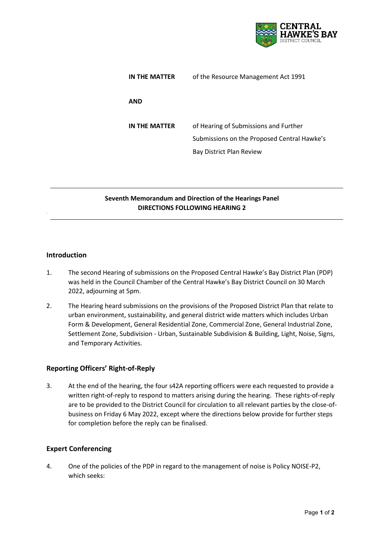

| IN THE MATTER | of the Resource Management Act 1991                                                                              |
|---------------|------------------------------------------------------------------------------------------------------------------|
| <b>AND</b>    |                                                                                                                  |
| IN THE MATTER | of Hearing of Submissions and Further<br>Submissions on the Proposed Central Hawke's<br>Bay District Plan Review |

# **Seventh Memorandum and Direction of the Hearings Panel DIRECTIONS FOLLOWING HEARING 2 2.**

## **Introduction**

- 1. The second Hearing of submissions on the Proposed Central Hawke's Bay District Plan (PDP) was held in the Council Chamber of the Central Hawke's Bay District Council on 30 March 2022, adjourning at 5pm.
- 2. The Hearing heard submissions on the provisions of the Proposed District Plan that relate to urban environment, sustainability, and general district wide matters which includes Urban Form & Development, General Residential Zone, Commercial Zone, General Industrial Zone, Settlement Zone, Subdivision - Urban, Sustainable Subdivision & Building, Light, Noise, Signs, and Temporary Activities.

#### **Reporting Officers' Right-of-Reply**

3. At the end of the hearing, the four s42A reporting officers were each requested to provide a written right-of-reply to respond to matters arising during the hearing. These rights-of-reply are to be provided to the District Council for circulation to all relevant parties by the close-ofbusiness on Friday 6 May 2022, except where the directions below provide for further steps for completion before the reply can be finalised.

#### **Expert Conferencing**

4. One of the policies of the PDP in regard to the management of noise is Policy NOISE-P2, which seeks: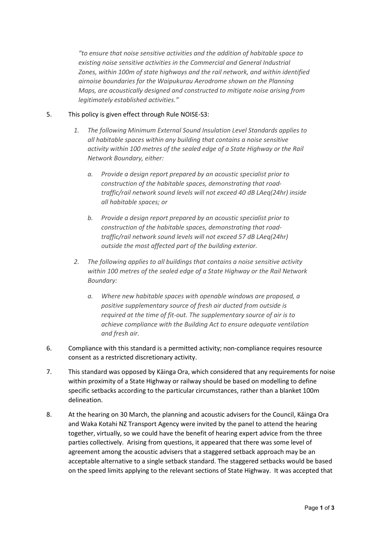*"to ensure that noise sensitive activities and the addition of habitable space to existing noise sensitive activities in the Commercial and General Industrial Zones, within 100m of state highways and the rail network, and within identified airnoise boundaries for the Waipukurau Aerodrome shown on the Planning Maps, are acoustically designed and constructed to mitigate noise arising from legitimately established activities."*

## 5. This policy is given effect through Rule NOISE-S3:

- *1. The following Minimum External Sound Insulation Level Standards applies to all habitable spaces within any building that contains a noise sensitive activity within 100 metres of the sealed edge of a State Highway or the Rail Network Boundary, either:*
	- *a. Provide a design report prepared by an acoustic specialist prior to construction of the habitable spaces, demonstrating that roadtraffic/rail network sound levels will not exceed 40 dB LAeq(24hr) inside all habitable spaces; or*
	- *b. Provide a design report prepared by an acoustic specialist prior to construction of the habitable spaces, demonstrating that roadtraffic/rail network sound levels will not exceed 57 dB LAeq(24hr) outside the most affected part of the building exterior.*
- *2. The following applies to all buildings that contains a noise sensitive activity within 100 metres of the sealed edge of a State Highway or the Rail Network Boundary:*
	- *a. Where new habitable spaces with openable windows are proposed, a positive supplementary source of fresh air ducted from outside is required at the time of fit-out. The supplementary source of air is to achieve compliance with the Building Act to ensure adequate ventilation and fresh air.*
- 6. Compliance with this standard is a permitted activity; non-compliance requires resource consent as a restricted discretionary activity.
- 7. This standard was opposed by Kāinga Ora, which considered that any requirements for noise within proximity of a State Highway or railway should be based on modelling to define specific setbacks according to the particular circumstances, rather than a blanket 100m delineation.
- 8. At the hearing on 30 March, the planning and acoustic advisers for the Council, Kāinga Ora and Waka Kotahi NZ Transport Agency were invited by the panel to attend the hearing together, virtually, so we could have the benefit of hearing expert advice from the three parties collectively. Arising from questions, it appeared that there was some level of agreement among the acoustic advisers that a staggered setback approach may be an acceptable alternative to a single setback standard. The staggered setbacks would be based on the speed limits applying to the relevant sections of State Highway. It was accepted that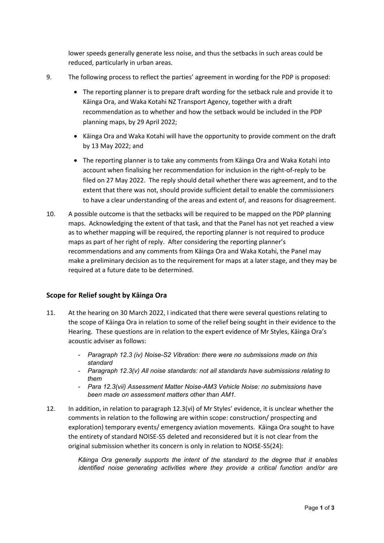lower speeds generally generate less noise, and thus the setbacks in such areas could be reduced, particularly in urban areas.

- 9. The following process to reflect the parties' agreement in wording for the PDP is proposed:
	- The reporting planner is to prepare draft wording for the setback rule and provide it to Kāinga Ora, and Waka Kotahi NZ Transport Agency, together with a draft recommendation as to whether and how the setback would be included in the PDP planning maps, by 29 April 2022;
	- Kāinga Ora and Waka Kotahi will have the opportunity to provide comment on the draft by 13 May 2022; and
	- The reporting planner is to take any comments from Kāinga Ora and Waka Kotahi into account when finalising her recommendation for inclusion in the right-of-reply to be filed on 27 May 2022. The reply should detail whether there was agreement, and to the extent that there was not, should provide sufficient detail to enable the commissioners to have a clear understanding of the areas and extent of, and reasons for disagreement.
- 10. A possible outcome is that the setbacks will be required to be mapped on the PDP planning maps. Acknowledging the extent of that task, and that the Panel has not yet reached a view as to whether mapping will be required, the reporting planner is not required to produce maps as part of her right of reply. After considering the reporting planner's recommendations and any comments from Kāinga Ora and Waka Kotahi, the Panel may make a preliminary decision as to the requirement for maps at a later stage, and they may be required at a future date to be determined.

#### **Scope for Relief sought by Kāinga Ora**

- 11. At the hearing on 30 March 2022, I indicated that there were several questions relating to the scope of Kāinga Ora in relation to some of the relief being sought in their evidence to the Hearing. These questions are in relation to the expert evidence of Mr Styles, Kāinga Ora's acoustic adviser as follows:
	- *Paragraph 12.3 (iv) Noise-S2 Vibration: there were no submissions made on this standard*
	- *Paragraph 12.3(v) All noise standards: not all standards have submissions relating to them*
	- *Para 12.3(vii) Assessment Matter Noise-AM3 Vehicle Noise: no submissions have been made on assessment matters other than AM1.*
- 12. In addition, in relation to paragraph 12.3(vi) of Mr Styles' evidence, it is unclear whether the comments in relation to the following are within scope: construction/ prospecting and exploration) temporary events/ emergency aviation movements. Kāinga Ora sought to have the entirety of standard NOISE-S5 deleted and reconsidered but it is not clear from the original submission whether its concern is only in relation to NOISE-S5(24):

*Kāinga Ora generally supports the intent of the standard to the degree that it enables identified noise generating activities where they provide a critical function and/or are*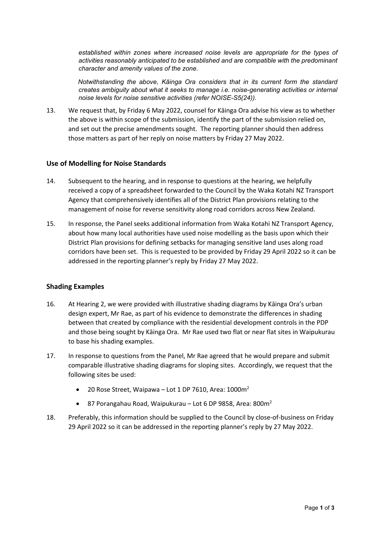*established within zones where increased noise levels are appropriate for the types of activities reasonably anticipated to be established and are compatible with the predominant character and amenity values of the zone.*

*Notwithstanding the above, Kāinga Ora considers that in its current form the standard creates ambiguity about what it seeks to manage i.e. noise-generating activities or internal noise levels for noise sensitive activities (refer NOISE-S5(24)).*

13. We request that, by Friday 6 May 2022, counsel for Kāinga Ora advise his view as to whether the above is within scope of the submission, identify the part of the submission relied on, and set out the precise amendments sought. The reporting planner should then address those matters as part of her reply on noise matters by Friday 27 May 2022.

## **Use of Modelling for Noise Standards**

- 14. Subsequent to the hearing, and in response to questions at the hearing, we helpfully received a copy of a spreadsheet forwarded to the Council by the Waka Kotahi NZ Transport Agency that comprehensively identifies all of the District Plan provisions relating to the management of noise for reverse sensitivity along road corridors across New Zealand.
- 15. In response, the Panel seeks additional information from Waka Kotahi NZ Transport Agency, about how many local authorities have used noise modelling as the basis upon which their District Plan provisions for defining setbacks for managing sensitive land uses along road corridors have been set. This is requested to be provided by Friday 29 April 2022 so it can be addressed in the reporting planner's reply by Friday 27 May 2022.

#### **Shading Examples**

- 16. At Hearing 2, we were provided with illustrative shading diagrams by Kāinga Ora's urban design expert, Mr Rae, as part of his evidence to demonstrate the differences in shading between that created by compliance with the residential development controls in the PDP and those being sought by Kāinga Ora. Mr Rae used two flat or near flat sites in Waipukurau to base his shading examples.
- 17. In response to questions from the Panel, Mr Rae agreed that he would prepare and submit comparable illustrative shading diagrams for sloping sites. Accordingly, we request that the following sites be used:
	- 20 Rose Street, Waipawa Lot 1 DP 7610, Area:  $1000m^2$
	- 87 Porangahau Road, Waipukurau Lot 6 DP 9858, Area: 800m<sup>2</sup>
- 18. Preferably, this information should be supplied to the Council by close-of-business on Friday 29 April 2022 so it can be addressed in the reporting planner's reply by 27 May 2022.